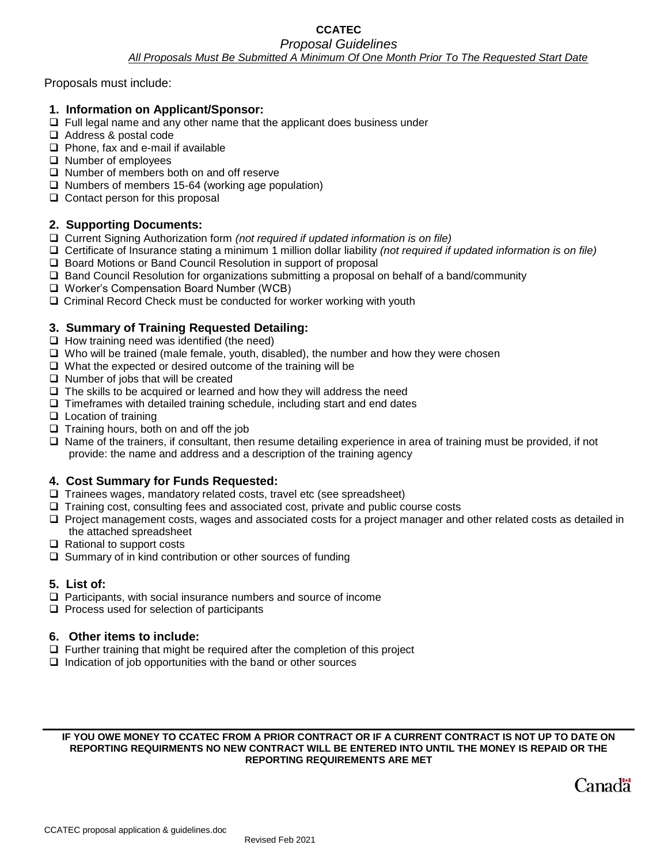### **CCATEC**  *Proposal Guidelines All Proposals Must Be Submitted A Minimum Of One Month Prior To The Requested Start Date*

Proposals must include:

- **1. Information on Applicant/Sponsor:**
- ❑ Full legal name and any other name that the applicant does business under
- ❑ Address & postal code
- ❑ Phone, fax and e-mail if available
- ❑ Number of employees
- ❑ Number of members both on and off reserve
- ❑ Numbers of members 15-64 (working age population)
- ❑ Contact person for this proposal

## **2. Supporting Documents:**

- ❑ Current Signing Authorization form *(not required if updated information is on file)*
- ❑ Certificate of Insurance stating a minimum 1 million dollar liability *(not required if updated information is on file)*
- ❑ Board Motions or Band Council Resolution in support of proposal
- ❑ Band Council Resolution for organizations submitting a proposal on behalf of a band/community
- ❑ Worker's Compensation Board Number (WCB)
- ❑ Criminal Record Check must be conducted for worker working with youth

## **3. Summary of Training Requested Detailing:**

- ❑ How training need was identified (the need)
- ❑ Who will be trained (male female, youth, disabled), the number and how they were chosen
- ❑ What the expected or desired outcome of the training will be
- ❑ Number of jobs that will be created
- ❑ The skills to be acquired or learned and how they will address the need
- ❑ Timeframes with detailed training schedule, including start and end dates
- ❑ Location of training
- ❑ Training hours, both on and off the job
- ❑ Name of the trainers, if consultant, then resume detailing experience in area of training must be provided, if not provide: the name and address and a description of the training agency

## **4. Cost Summary for Funds Requested:**

- ❑ Trainees wages, mandatory related costs, travel etc (see spreadsheet)
- ❑ Training cost, consulting fees and associated cost, private and public course costs
- ❑ Project management costs, wages and associated costs for a project manager and other related costs as detailed in the attached spreadsheet
- ❑ Rational to support costs
- ❑ Summary of in kind contribution or other sources of funding

## **5. List of:**

- ❑ Participants, with social insurance numbers and source of income
- ❑ Process used for selection of participants

## **6. Other items to include:**

- ❑ Further training that might be required after the completion of this project
- ❑ Indication of job opportunities with the band or other sources

#### **IF YOU OWE MONEY TO CCATEC FROM A PRIOR CONTRACT OR IF A CURRENT CONTRACT IS NOT UP TO DATE ON REPORTING REQUIRMENTS NO NEW CONTRACT WILL BE ENTERED INTO UNTIL THE MONEY IS REPAID OR THE REPORTING REQUIREMENTS ARE MET**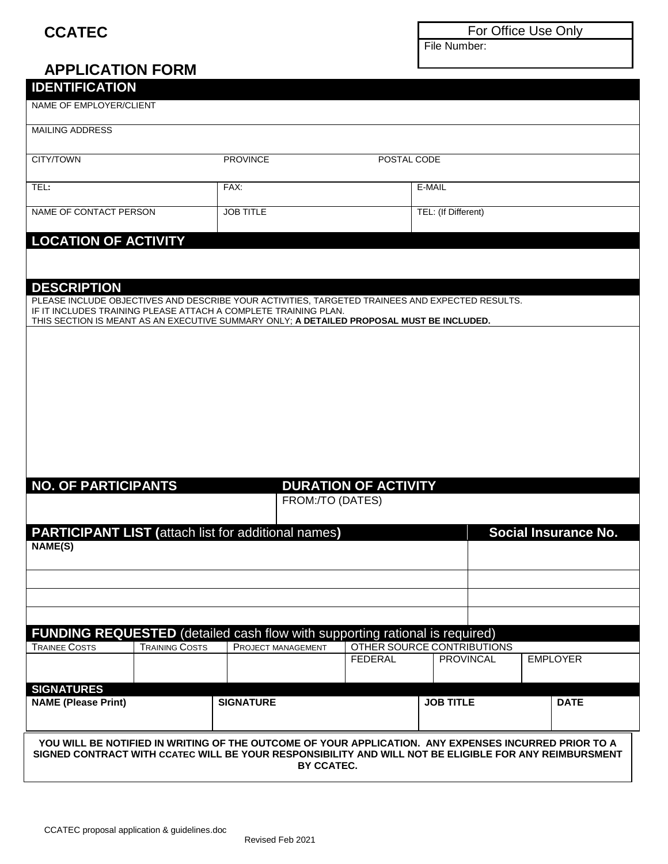## **CCATEC**

For Office Use Only

File Number:

# **APPLICATION FORM IDENTIFICATION** NAME OF EMPLOYER/CLIENT MAILING ADDRESS CITY/TOWN PROVINCE POSTAL CODE TEL**:** FAX: E-MAIL NAME OF CONTACT PERSON JOB TITLE TEL: (If Different) **LOCATION OF ACTIVITY DESCRIPTION**  PLEASE INCLUDE OBJECTIVES AND DESCRIBE YOUR ACTIVITIES, TARGETED TRAINEES AND EXPECTED RESULTS. IF IT INCLUDES TRAINING PLEASE ATTACH A COMPLETE TRAINING PLAN. THIS SECTION IS MEANT AS AN EXECUTIVE SUMMARY ONLY; **A DETAILED PROPOSAL MUST BE INCLUDED. NO. OF PARTICIPANTS DURATION OF ACTIVITY** FROM:/TO (DATES) **PARTICIPANT LIST** (attach list for additional names) **Social Insurance No. NAME(S) FUNDING REQUESTED** (detailed cash flow with supporting rational is required) TRAINEE COSTS | TRAINING COSTS | PROJECT MANAGEMENT | OTHER SOURCE CONTRIBUTIONS FEDERAL PROVINCAL EMPLOYER **SIGNATURES NAME (Please Print) SIGNATURE JOB TITLE DATE YOU WILL BE NOTIFIED IN WRITING OF THE OUTCOME OF YOUR APPLICATION. ANY EXPENSES INCURRED PRIOR TO A SIGNED CONTRACT WITH CCATEC WILL BE YOUR RESPONSIBILITY AND WILL NOT BE ELIGIBLE FOR ANY REIMBURSMENT BY CCATEC.**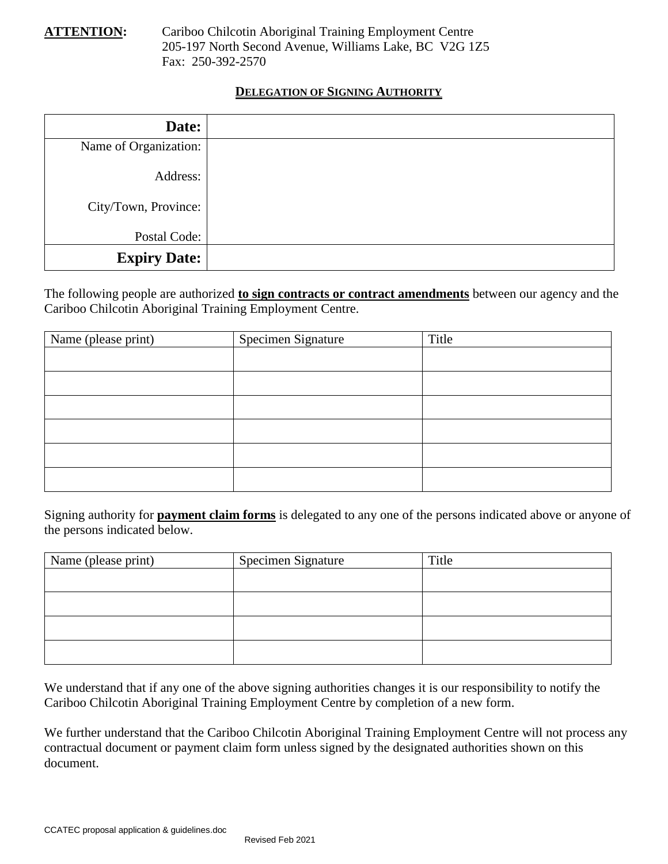**ATTENTION:** Cariboo Chilcotin Aboriginal Training Employment Centre 205-197 North Second Avenue, Williams Lake, BC V2G 1Z5 Fax: 250-392-2570

## **DELEGATION OF SIGNING AUTHORITY**

| Date:                 |  |
|-----------------------|--|
| Name of Organization: |  |
| Address:              |  |
| City/Town, Province:  |  |
| Postal Code:          |  |
| <b>Expiry Date:</b>   |  |

The following people are authorized **to sign contracts or contract amendments** between our agency and the Cariboo Chilcotin Aboriginal Training Employment Centre.

| Name (please print) | Specimen Signature | Title |
|---------------------|--------------------|-------|
|                     |                    |       |
|                     |                    |       |
|                     |                    |       |
|                     |                    |       |
|                     |                    |       |
|                     |                    |       |

Signing authority for **payment claim forms** is delegated to any one of the persons indicated above or anyone of the persons indicated below.

| Name (please print) | <b>Specimen Signature</b> | Title |
|---------------------|---------------------------|-------|
|                     |                           |       |
|                     |                           |       |
|                     |                           |       |
|                     |                           |       |

We understand that if any one of the above signing authorities changes it is our responsibility to notify the Cariboo Chilcotin Aboriginal Training Employment Centre by completion of a new form.

We further understand that the Cariboo Chilcotin Aboriginal Training Employment Centre will not process any contractual document or payment claim form unless signed by the designated authorities shown on this document.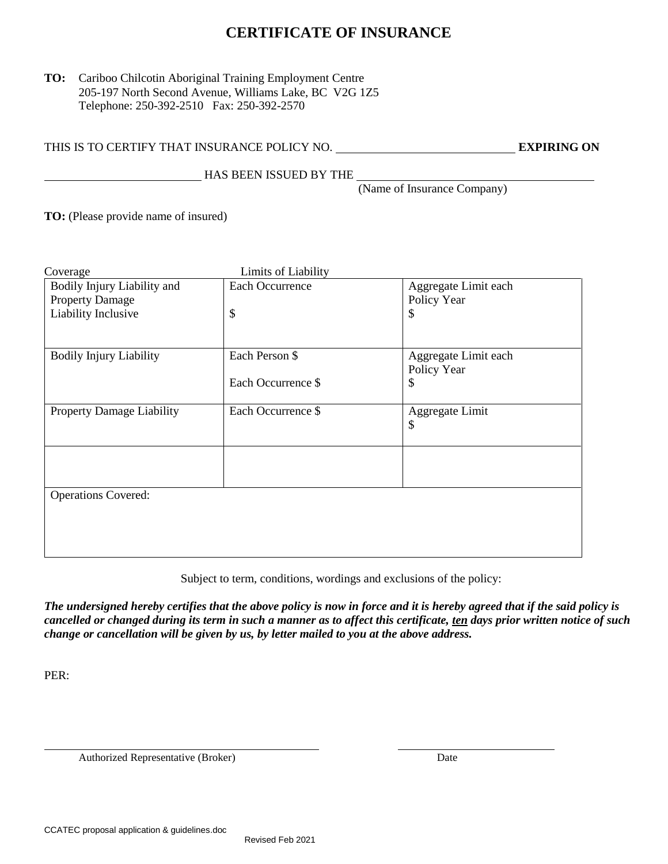## **CERTIFICATE OF INSURANCE**

## **TO:** Cariboo Chilcotin Aboriginal Training Employment Centre 205-197 North Second Avenue, Williams Lake, BC V2G 1Z5 Telephone: 250-392-2510 Fax: 250-392-2570

THIS IS TO CERTIFY THAT INSURANCE POLICY NO. **EXPIRING ON** 

HAS BEEN ISSUED BY THE

(Name of Insurance Company)

**TO:** (Please provide name of insured)

| Coverage                         | Limits of Liability |                      |  |  |  |  |  |
|----------------------------------|---------------------|----------------------|--|--|--|--|--|
| Bodily Injury Liability and      | Each Occurrence     | Aggregate Limit each |  |  |  |  |  |
| <b>Property Damage</b>           |                     | Policy Year          |  |  |  |  |  |
| Liability Inclusive              | \$                  | \$                   |  |  |  |  |  |
|                                  |                     |                      |  |  |  |  |  |
| <b>Bodily Injury Liability</b>   | Each Person \$      | Aggregate Limit each |  |  |  |  |  |
|                                  |                     | Policy Year          |  |  |  |  |  |
|                                  | Each Occurrence \$  | \$                   |  |  |  |  |  |
|                                  |                     |                      |  |  |  |  |  |
| <b>Property Damage Liability</b> | Each Occurrence \$  | Aggregate Limit      |  |  |  |  |  |
|                                  |                     | \$                   |  |  |  |  |  |
|                                  |                     |                      |  |  |  |  |  |
|                                  |                     |                      |  |  |  |  |  |
|                                  |                     |                      |  |  |  |  |  |
| <b>Operations Covered:</b>       |                     |                      |  |  |  |  |  |
|                                  |                     |                      |  |  |  |  |  |
|                                  |                     |                      |  |  |  |  |  |
|                                  |                     |                      |  |  |  |  |  |
|                                  |                     |                      |  |  |  |  |  |
|                                  |                     |                      |  |  |  |  |  |

Subject to term, conditions, wordings and exclusions of the policy:

*The undersigned hereby certifies that the above policy is now in force and it is hereby agreed that if the said policy is cancelled or changed during its term in such a manner as to affect this certificate, ten days prior written notice of such change or cancellation will be given by us, by letter mailed to you at the above address.*

PER:

Authorized Representative (Broker) Date